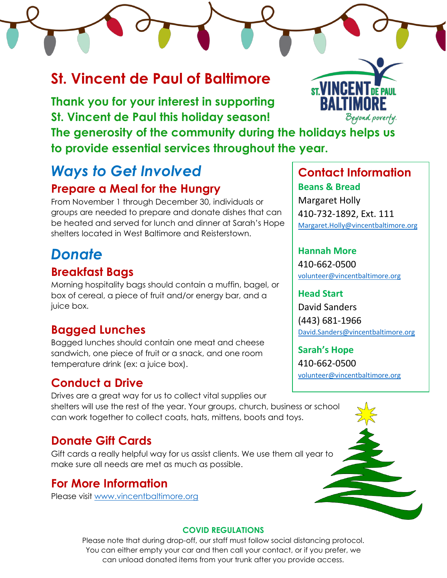# **St. Vincent de Paul of Baltimore**

**Thank you for your interest in supporting St. Vincent de Paul this holiday season!** Beyond poverfy. **The generosity of the community during the holidays helps us to provide essential services throughout the year.**

# *Ways to Get Involved* **Prepare a Meal for the Hungry**

From November 1 through December 30, individuals or groups are needed to prepare and donate dishes that can be heated and served for lunch and dinner at Sarah's Hope shelters located in West Baltimore and Reisterstown.

# *Donate*

## **Breakfast Bags**

Morning hospitality bags should contain a muffin, bagel, or box of cereal, a piece of fruit and/or energy bar, and a juice box.

# **Bagged Lunches**

Bagged lunches should contain one meat and cheese sandwich, one piece of fruit or a snack, and one room temperature drink (ex: a juice box).

# **Conduct a Drive**

Drives are a great way for us to collect vital supplies our shelters will use the rest of the year. Your groups, church, business or school can work together to collect coats, hats, mittens, boots and toys.

# **Donate Gift Cards**

Gift cards a really helpful way for us assist clients. We use them all year to make sure all needs are met as much as possible.

# **For More Information**

Please visit [www.vincentbaltimore.org](http://www.vincentbaltimore.org/)



**Contact Information Beans & Bread** Margaret Holly 410-732-1892, Ext. 111 [Margaret.Holly@vincentbaltimore.org](mailto:Margaret.Holly@vincentbaltimore.org)

### **Hannah More**

410-662-0500 [volunteer@vincentbaltimore.org](mailto:volunteer@vincentbaltimore.org)

**Head Start** David Sanders (443) 681-1966 [David.Sanders@vincentbaltimore.org](mailto:David.Sanders@vincentbaltimore.org)

**Sarah's Hope** 410-662-0500 [volunteer@vincentbaltimore.org](mailto:volunteer@vincentbaltimore.org)



### **COVID REGULATIONS**

Please note that during drop-off, our staff must follow social distancing protocol. You can either empty your car and then call your contact, or if you prefer, we can unload donated items from your trunk after you provide access.